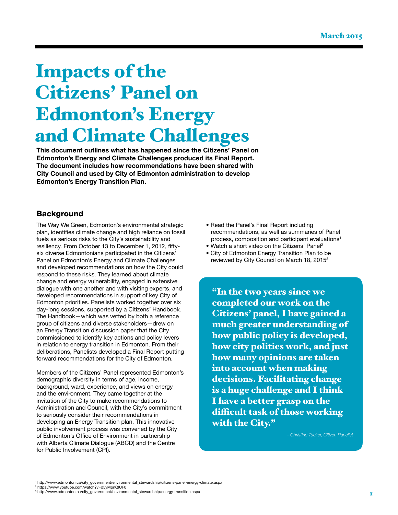# Impacts of the Citizens' Panel on Edmonton's Energy and Climate Challenges

This document outlines what has happened since the Citizens' Panel on Edmonton's Energy and Climate Challenges produced its Final Report. The document includes how recommendations have been shared with City Council and used by City of Edmonton administration to develop Edmonton's Energy Transition Plan.

### **Background**

The Way We Green, Edmonton's environmental strategic plan, identifies climate change and high reliance on fossil fuels as serious risks to the City's sustainability and resiliency. From October 13 to December 1, 2012, fiftysix diverse Edmontonians participated in the Citizens' Panel on Edmonton's Energy and Climate Challenges and developed recommendations on how the City could respond to these risks. They learned about climate change and energy vulnerability, engaged in extensive dialogue with one another and with visiting experts, and developed recommendations in support of key City of Edmonton priorities. Panelists worked together over six day-long sessions, supported by a Citizens' Handbook. The Handbook—which was vetted by both a reference group of citizens and diverse stakeholders—drew on an Energy Transition discussion paper that the City commissioned to identify key actions and policy levers in relation to energy transition in Edmonton. From their deliberations, Panelists developed a Final Report putting forward recommendations for the City of Edmonton.

Members of the Citizens' Panel represented Edmonton's demographic diversity in terms of age, income, background, ward, experience, and views on energy and the environment. They came together at the invitation of the City to make recommendations to Administration and Council, with the City's commitment to seriously consider their recommendations in developing an Energy Transition plan. This innovative public involvement process was convened by the City of Edmonton's Office of Environment in partnership with Alberta Climate Dialogue (ABCD) and the Centre for Public Involvement (CPI).

- Read the Panel's Final Report including recommendations, as well as summaries of Panel process, composition and participant evaluations<sup>1</sup>
- Watch a short video on the Citizens' Panel2
- City of Edmonton Energy Transition Plan to be reviewed by City Council on March 18, 20153

"In the two years since we completed our work on the Citizens' panel, I have gained a much greater understanding of how public policy is developed, how city politics work, and just how many opinions are taken into account when making decisions. Facilitating change is a huge challenge and I think I have a better grasp on the difficult task of those working with the City."

– Christine Tucker, Citizen Panelist

1 [http://www.edmonton.ca/city\\_government/environmental\\_stewardship/citizens-panel-energy-climate.aspx](http://www.edmonton.ca/city_government/environmental_stewardship/citizens-panel-energy-climate.aspx)

<sup>2</sup> <https://www.youtube.com/watch?v=d5yMpnQlUF0>

<sup>3</sup> [http://www.edmonton.ca/city\\_government/environmental\\_stewardship/energy-transition.aspx](http://www.edmonton.ca/city_government/environmental_stewardship/energy-transition.aspx)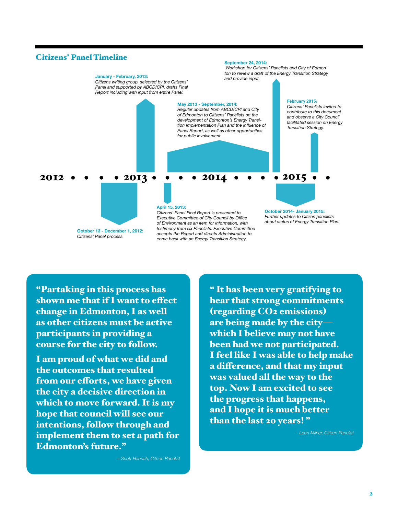#### Citizens' Panel Timeline



"Partaking in this process has shown me that if I want to effect change in Edmonton, I as well as other citizens must be active participants in providing a course for the city to follow.

I am proud of what we did and the outcomes that resulted from our efforts, we have given the city a decisive direction in which to move forward. It is my hope that council will see our intentions, follow through and implement them to set a path for Edmonton's future."

– Scott Hannah, Citizen Panelist

" It has been very gratifying to hear that strong commitments (regarding CO2 emissions) are being made by the city which I believe may not have been had we not participated. I feel like I was able to help make a difference, and that my input was valued all the way to the top. Now I am excited to see the progress that happens, and I hope it is much better than the last 20 years! "

– Leon Milner, Citizen Panelist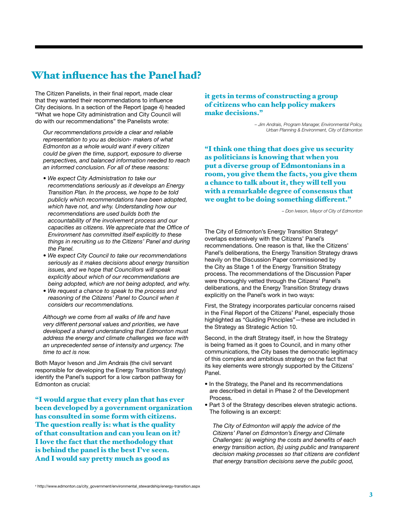## What influence has the Panel had?

The Citizen Panelists, in their final report, made clear that they wanted their recommendations to influence City decisions. In a section of the Report (page 4) headed "What we hope City administration and City Council will do with our recommendations" the Panelists wrote:

 Our recommendations provide a clear and reliable representation to you as decision- makers of what Edmonton as a whole would want if every citizen could be given the time, support, exposure to diverse perspectives, and balanced information needed to reach an informed conclusion. For all of these reasons:

- We expect City Administration to take our recommendations seriously as it develops an Energy Transition Plan. In the process, we hope to be told publicly which recommendations have been adopted, which have not, and why. Understanding how our recommendations are used builds both the accountability of the involvement process and our capacities as citizens. We appreciate that the Office of Environment has committed itself explicitly to these things in recruiting us to the Citizens' Panel and during the Panel.
- We expect City Council to take our recommendations seriously as it makes decisions about energy transition issues, and we hope that Councillors will speak explicitly about which of our recommendations are being adopted, which are not being adopted, and why.
- We request a chance to speak to the process and reasoning of the Citizens' Panel to Council when it considers our recommendations.

 Although we come from all walks of life and have very different personal values and priorities, we have developed a shared understanding that Edmonton must address the energy and climate challenges we face with an unprecedented sense of intensity and urgency. The time to act is now.

Both Mayor Iveson and Jim Andrais (the civil servant responsible for developing the Energy Transition Strategy) identify the Panel's support for a low carbon pathway for Edmonton as crucial:

"I would argue that every plan that has ever been developed by a government organization has consulted in some form with citizens. The question really is: what is the quality of that consultation and can you lean on it? I love the fact that the methodology that is behind the panel is the best I've seen. And I would say pretty much as good as

it gets in terms of constructing a group of citizens who can help policy makers make decisions."

> – Jim Andrais, Program Manager, Environmental Policy, Urban Planning & Environment, City of Edmonton

"I think one thing that does give us security as politicians is knowing that when you put a diverse group of Edmontonians in a room, you give them the facts, you give them a chance to talk about it, they will tell you with a remarkable degree of consensus that we ought to be doing something different."

– Don Iveson, Mayor of City of Edmonton

The City of Edmonton's Energy Transition Strategy<sup>4</sup> overlaps extensively with the Citizens' Panel's recommendations. One reason is that, like the Citizens' Panel's deliberations, the Energy Transition Strategy draws heavily on the Discussion Paper commissioned by the City as Stage 1 of the Energy Transition Strategy process. The recommendations of the Discussion Paper were thoroughly vetted through the Citizens' Panel's deliberations, and the Energy Transition Strategy draws explicitly on the Panel's work in two ways:

First, the Strategy incorporates particular concerns raised in the Final Report of the Citizens' Panel, especially those highlighted as "Guiding Principles"—these are included in the Strategy as Strategic Action 10.

Second, in the draft Strategy itself, in how the Strategy is being framed as it goes to Council, and in many other communications, the City bases the democratic legitimacy of this complex and ambitious strategy on the fact that its key elements were strongly supported by the Citizens' Panel.

- In the Strategy, the Panel and its recommendations are described in detail in Phase 2 of the Development Process.
- Part 3 of the Strategy describes eleven strategic actions. The following is an excerpt:

 The City of Edmonton will apply the advice of the Citizens' Panel on Edmonton's Energy and Climate Challenges: (a) weighing the costs and benefits of each energy transition action, (b) using public and transparent decision making processes so that citizens are confident that energy transition decisions serve the public good,